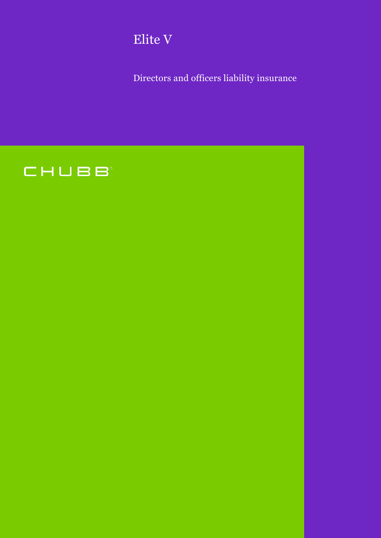

Directors and officers liability insurance

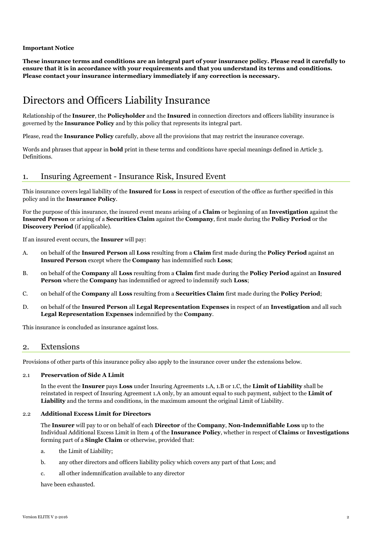# **Important Notice**

**These insurance terms and conditions are an integral part of your insurance policy. Please read it carefully to ensure that it is in accordance with your requirements and that you understand its terms and conditions. Please contact your insurance intermediary immediately if any correction is necessary.**

# Directors and Officers Liability Insurance

Relationship of the **Insurer**, the **Policyholder** and the **Insured** in connection directors and officers liability insurance is governed by the **Insurance Policy** and by this policy that represents its integral part.

Please, read the **Insurance Policy** carefully, above all the provisions that may restrict the insurance coverage.

Words and phrases that appear in **bold** print in these terms and conditions have special meanings defined in Article 3. Definitions.

# 1. Insuring Agreement - Insurance Risk, Insured Event

This insurance covers legal liability of the **Insured** for **Loss** in respect of execution of the office as further specified in this policy and in the **Insurance Policy**.

For the purpose of this insurance, the insured event means arising of a **Claim** or beginning of an **Investigation** against the **Insured Person** or arising of a **Securities Claim** against the **Company**, first made during the **Policy Period** or the **Discovery Period** (if applicable).

If an insured event occurs, the **Insurer** will pay:

- A. on behalf of the **Insured Person** all **Loss** resulting from a **Claim** first made during the **Policy Period** against an **Insured Person** except where the **Company** has indemnified such **Loss**;
- B. on behalf of the **Company** all **Loss** resulting from a **Claim** first made during the **Policy Period** against an **Insured Person** where the **Company** has indemnified or agreed to indemnify such **Loss**;
- C. on behalf of the **Company** all **Loss** resulting from a **Securities Claim** first made during the **Policy Period**;
- D. on behalf of the **Insured Person** all **Legal Representation Expenses** in respect of an **Investigation** and all such **Legal Representation Expenses** indemnified by the **Company**.

This insurance is concluded as insurance against loss.

# 2. Extensions

Provisions of other parts of this insurance policy also apply to the insurance cover under the extensions below.

# 2.1 **Preservation of Side A Limit**

In the event the **Insurer** pays **Loss** under Insuring Agreements 1.A, 1.B or 1.C, the **Limit of Liability** shall be reinstated in respect of Insuring Agreement 1.A only, by an amount equal to such payment, subject to the **Limit of Liability** and the terms and conditions, in the maximum amount the original Limit of Liability.

#### 2.2 **Additional Excess Limit for Directors**

The **Insurer** will pay to or on behalf of each **Director** of the **Company**, **Non-Indemnifiable Loss** up to the Individual Additional Excess Limit in Item 4 of the **Insurance Policy**, whether in respect of **Claims** or **Investigations** forming part of a **Single Claim** or otherwise, provided that:

- a. the Limit of Liability;
- b. any other directors and officers liability policy which covers any part of that Loss; and
- c. all other indemnification available to any director

have been exhausted.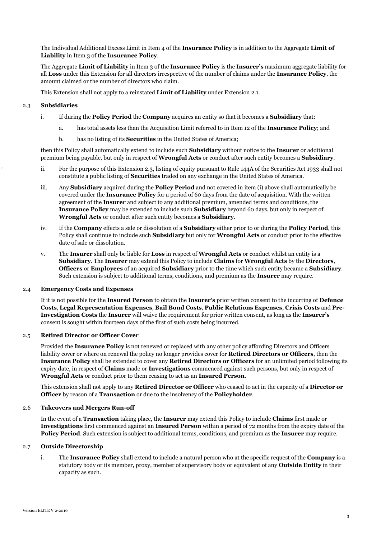The Individual Additional Excess Limit in Item 4 of the **Insurance Policy** is in addition to the Aggregate **Limit of Liability** in Item 3 of the **Insurance Policy**.

The Aggregate **Limit of Liability** in Item 3 of the **Insurance Policy** is the **Insurer's** maximum aggregate liability for all **Loss** under this Extension for all directors irrespective of the number of claims under the **Insurance Policy**, the amount claimed or the number of directors who claim.

This Extension shall not apply to a reinstated **Limit of Liability** under Extension 2.1.

# 2.3 **Subsidiaries**

- i. If during the **Policy Period** the **Company** acquires an entity so that it becomes a **Subsidiary** that:
	- a. has total assets less than the Acquisition Limit referred to in Item 12 of the **Insurance Policy**; and
	- b. has no listing of its **Securities** in the United States of America;

then this Policy shall automatically extend to include such **Subsidiary** without notice to the **Insurer** or additional premium being payable, but only in respect of **Wrongful Acts** or conduct after such entity becomes a **Subsidiary**.

- ii. For the purpose of this Extension 2.3, listing of equity pursuant to Rule 144A of the Securities Act 1933 shall not constitute a public listing of **Securities** traded on any exchange in the United States of America.
- iii. Any **Subsidiary** acquired during the **Policy Period** and not covered in item (i) above shall automatically be covered under the **Insurance Policy** for a period of 60 days from the date of acquisition. With the written agreement of the **Insurer** and subject to any additional premium, amended terms and conditions, the **Insurance Policy** may be extended to include such **Subsidiary** beyond 60 days, but only in respect of **Wrongful Acts** or conduct after such entity becomes a **Subsidiary**.
- iv. If the **Company** effects a sale or dissolution of a **Subsidiary** either prior to or during the **Policy Period**, this Policy shall continue to include such **Subsidiary** but only for **Wrongful Acts** or conduct prior to the effective date of sale or dissolution.
- v. The **Insurer** shall only be liable for **Loss** in respect of **Wrongful Acts** or conduct whilst an entity is a **Subsidiary**. The **Insurer** may extend this Policy to include **Claims** for **Wrongful Acts** by the **Directors**, **Officers** or **Employees** of an acquired **Subsidiary** prior to the time which such entity became a **Subsidiary**. Such extension is subject to additional terms, conditions, and premium as the **Insurer** may require.

# 2.4 **Emergency Costs and Expenses**

If it is not possible for the **Insured Person** to obtain the **Insurer's** prior written consent to the incurring of **Defence Costs**, **Legal Representation Expenses**, **Bail Bond Costs**, **Public Relations Expenses**, **Crisis Costs** and **Pre-Investigation Costs** the **Insurer** will waive the requirement for prior written consent, as long as the **Insurer's** consent is sought within fourteen days of the first of such costs being incurred.

#### 2.5 **Retired Director or Officer Cover**

Provided the **Insurance Policy** is not renewed or replaced with any other policy affording Directors and Officers liability cover or where on renewal the policy no longer provides cover for **Retired Directors or Officers**, then the **Insurance Policy** shall be extended to cover any **Retired Directors or Officers** for an unlimited period following its expiry date, in respect of **Claims** made or **Investigations** commenced against such persons, but only in respect of **Wrongful Acts** or conduct prior to them ceasing to act as an **Insured Person**.

This extension shall not apply to any **Retired Director or Officer** who ceased to act in the capacity of a **Director or Officer** by reason of a **Transaction** or due to the insolvency of the **Policyholder**.

#### 2.6 **Takeovers and Mergers Run-off**

In the event of a **Transaction** taking place, the **Insurer** may extend this Policy to include **Claims** first made or **Investigations** first commenced against an **Insured Person** within a period of 72 months from the expiry date of the **Policy Period**. Such extension is subject to additional terms, conditions, and premium as the **Insurer** may require.

#### 2.7 **Outside Directorship**

i. The **Insurance Policy** shall extend to include a natural person who at the specific request of the **Company** is a statutory body or its member, proxy, member of supervisory body or equivalent of any **Outside Entity** in their capacity as such.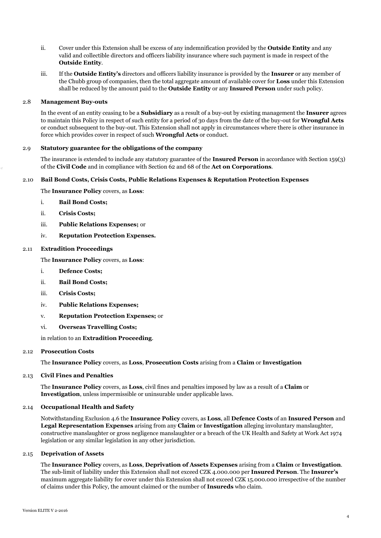- ii. Cover under this Extension shall be excess of any indemnification provided by the **Outside Entity** and any valid and collectible directors and officers liability insurance where such payment is made in respect of the **Outside Entity**.
- iii. If the **Outside Entity's** directors and officers liability insurance is provided by the **Insurer** or any member of the Chubb group of companies, then the total aggregate amount of available cover for **Loss** under this Extension shall be reduced by the amount paid to the **Outside Entity** or any **Insured Person** under such policy.

#### 2.8 **Management Buy-outs**

In the event of an entity ceasing to be a **Subsidiary** as a result of a buy-out by existing management the **Insurer** agrees to maintain this Policy in respect of such entity for a period of 30 days from the date of the buy-out for **Wrongful Acts** or conduct subsequent to the buy-out. This Extension shall not apply in circumstances where there is other insurance in force which provides cover in respect of such **Wrongful Acts** or conduct.

# 2.9 **Statutory guarantee for the obligations of the company**

The insurance is extended to include any statutory guarantee of the **Insured Person** in accordance with Section 159(3) of the **Civil Code** and in compliance with Section 62 and 68 of the **Act on Corporations**.

# 2.10 **Bail Bond Costs, Crisis Costs, Public Relations Expenses & Reputation Protection Expenses**

The **Insurance Policy** covers, as **Loss**:

- i. **Bail Bond Costs;**
- ii. **Crisis Costs;**
- iii. **Public Relations Expenses;** or
- iv. **Reputation Protection Expenses.**

# 2.11 **Extradition Proceedings**

The **Insurance Policy** covers, as **Loss**:

- i. **Defence Costs;**
- ii. **Bail Bond Costs;**
- iii. **Crisis Costs;**
- iv. **Public Relations Expenses;**
- v. **Reputation Protection Expenses;** or
- vi. **Overseas Travelling Costs;**

in relation to an **Extradition Proceeding**.

#### 2.12 **Prosecution Costs**

The **Insurance Policy** covers, as **Loss**, **Prosecution Costs** arising from a **Claim** or **Investigation**

# 2.13 **Civil Fines and Penalties**

The **Insurance Policy** covers, as **Loss**, civil fines and penalties imposed by law as a result of a **Claim** or **Investigation**, unless impermissible or uninsurable under applicable laws.

#### 2.14 **Occupational Health and Safety**

Notwithstanding Exclusion 4.6 the **Insurance Policy** covers, as **Loss**, all **Defence Costs** of an **Insured Person** and **Legal Representation Expenses** arising from any **Claim** or **Investigation** alleging involuntary manslaughter, constructive manslaughter or gross negligence manslaughter or a breach of the UK Health and Safety at Work Act 1974 legislation or any similar legislation in any other jurisdiction.

#### 2.15 **Deprivation of Assets**

The **Insurance Policy** covers, as **Loss**, **Deprivation of Assets Expenses** arising from a **Claim** or **Investigation**. The sub-limit of liability under this Extension shall not exceed CZK 4.000.000 per **Insured Person**. The **Insurer's** maximum aggregate liability for cover under this Extension shall not exceed CZK 15.000.000 irrespective of the number of claims under this Policy, the amount claimed or the number of **Insureds** who claim.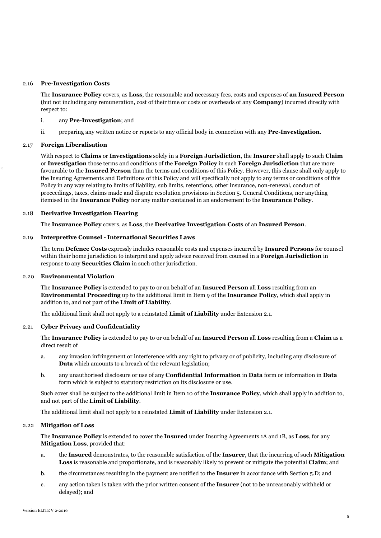#### 2.16 **Pre-Investigation Costs**

The **Insurance Policy** covers, as **Loss**, the reasonable and necessary fees, costs and expenses of **an Insured Person** (but not including any remuneration, cost of their time or costs or overheads of any **Company**) incurred directly with respect to:

#### i. any **Pre-Investigation**; and

ii. preparing any written notice or reports to any official body in connection with any **Pre-Investigation**.

#### 2.17 **Foreign Liberalisation**

With respect to **Claims** or **Investigations** solely in a **Foreign Jurisdiction**, the **Insurer** shall apply to such **Claim** or **Investigation** those terms and conditions of the **Foreign Policy** in such **Foreign Jurisdiction** that are more favourable to the **Insured Person** than the terms and conditions of this Policy. However, this clause shall only apply to the Insuring Agreements and Definitions of this Policy and will specifically not apply to any terms or conditions of this Policy in any way relating to limits of liability, sub limits, retentions, other insurance, non-renewal, conduct of proceedings, taxes, claims made and dispute resolution provisions in Section 5. General Conditions, nor anything itemised in the **Insurance Policy** nor any matter contained in an endorsement to the **Insurance Policy**.

# 2.18 **Derivative Investigation Hearing**

The **Insurance Policy** covers, as **Loss**, the **Derivative Investigation Costs** of an **Insured Person**.

# 2.19 **Interpretive Counsel - International Securities Laws**

The term **Defence Costs** expressly includes reasonable costs and expenses incurred by **Insured Persons** for counsel within their home jurisdiction to interpret and apply advice received from counsel in a **Foreign Jurisdiction** in response to any **Securities Claim** in such other jurisdiction.

#### 2.20 **Environmental Violation**

The **Insurance Policy** is extended to pay to or on behalf of an **Insured Person** all **Loss** resulting from an **Environmental Proceeding** up to the additional limit in Item 9 of the **Insurance Policy**, which shall apply in addition to, and not part of the **Limit of Liability**.

The additional limit shall not apply to a reinstated **Limit of Liability** under Extension 2.1.

#### 2.21 **Cyber Privacy and Confidentiality**

The **Insurance Policy** is extended to pay to or on behalf of an **Insured Person** all **Loss** resulting from a **Claim** as a direct result of

- a. any invasion infringement or interference with any right to privacy or of publicity, including any disclosure of **Data** which amounts to a breach of the relevant legislation;
- b. any unauthorised disclosure or use of any **Confidential Information** in **Data** form or information in **Data** form which is subject to statutory restriction on its disclosure or use.

Such cover shall be subject to the additional limit in Item 10 of the **Insurance Policy**, which shall apply in addition to, and not part of the **Limit of Liability**.

The additional limit shall not apply to a reinstated **Limit of Liability** under Extension 2.1.

#### 2.22 **Mitigation of Loss**

The **Insurance Policy** is extended to cover the **Insured** under Insuring Agreements 1A and 1B, as **Loss**, for any **Mitigation Loss**, provided that:

- a. the **Insured** demonstrates, to the reasonable satisfaction of the **Insurer**, that the incurring of such **Mitigation Loss** is reasonable and proportionate, and is reasonably likely to prevent or mitigate the potential **Claim**; and
- b. the circumstances resulting in the payment are notified to the **Insurer** in accordance with Section 5.D; and
- c. any action taken is taken with the prior written consent of the **Insurer** (not to be unreasonably withheld or delayed); and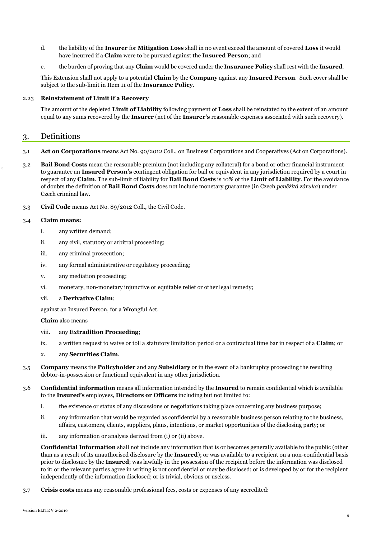- d. the liability of the **Insurer** for **Mitigation Loss** shall in no event exceed the amount of covered **Loss** it would have incurred if a **Claim** were to be pursued against the **Insured Person**; and
- e. the burden of proving that any **Claim** would be covered under the **Insurance Policy** shall rest with the **Insured**.

This Extension shall not apply to a potential **Claim** by the **Company** against any **Insured Person**. Such cover shall be subject to the sub-limit in Item 11 of the **Insurance Policy**.

#### 2.23 **Reinstatement of Limit if a Recovery**

The amount of the depleted **Limit of Liability** following payment of **Loss** shall be reinstated to the extent of an amount equal to any sums recovered by the **Insurer** (net of the **Insurer's** reasonable expenses associated with such recovery).

# 3. Definitions

- 3.1 **Act on Corporations** means Act No. 90/2012 Coll., on Business Corporations and Cooperatives (Act on Corporations).
- 3.2 **Bail Bond Costs** mean the reasonable premium (not including any collateral) for a bond or other financial instrument to guarantee an **Insured Person's** contingent obligation for bail or equivalent in any jurisdiction required by a court in respect of any **Claim**. The sub-limit of liability for **Bail Bond Costs** is 10% of the **Limit of Liability**. For the avoidance of doubts the definition of **Bail Bond Costs** does not include monetary guarantee (in Czech *peněžitá záruka*) under Czech criminal law.
- 3.3 **Civil Code** means Act No. 89/2012 Coll., the Civil Code.

# 3.4 **Claim means:**

- i. any written demand;
- ii. any civil, statutory or arbitral proceeding;
- iii. any criminal prosecution;
- iv. any formal administrative or regulatory proceeding;
- v. any mediation proceeding;
- vi. monetary, non-monetary injunctive or equitable relief or other legal remedy;

#### vii. a **Derivative Claim**;

against an Insured Person, for a Wrongful Act.

#### **Claim** also means

- viii. any **Extradition Proceeding**;
- ix. a written request to waive or toll a statutory limitation period or a contractual time bar in respect of a **Claim**; or

# x. any **Securities Claim**.

- 3.5 **Company** means the **Policyholder** and any **Subsidiary** or in the event of a bankruptcy proceeding the resulting debtor-in-possession or functional equivalent in any other jurisdiction.
- 3.6 **Confidential information** means all information intended by the **Insured** to remain confidential which is available to the **Insured's** employees, **Directors or Officers** including but not limited to:
	- i. the existence or status of any discussions or negotiations taking place concerning any business purpose;
	- ii. any information that would be regarded as confidential by a reasonable business person relating to the business, affairs, customers, clients, suppliers, plans, intentions, or market opportunities of the disclosing party; or
	- iii. any information or analysis derived from (i) or (ii) above.

**Confidential Information** shall not include any information that is or becomes generally available to the public (other than as a result of its unauthorised disclosure by the **Insured**); or was available to a recipient on a non-confidential basis prior to disclosure by the **Insured**; was lawfully in the possession of the recipient before the information was disclosed to it; or the relevant parties agree in writing is not confidential or may be disclosed; or is developed by or for the recipient independently of the information disclosed; or is trivial, obvious or useless.

3.7 **Crisis costs** means any reasonable professional fees, costs or expenses of any accredited: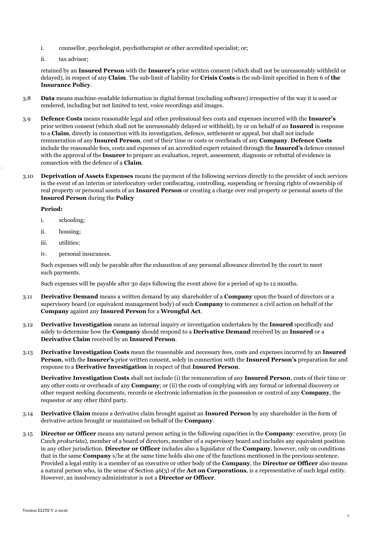- i. counsellor, psychologist, psychotherapist or other accredited specialist; or;
- ii. tax advisor;

retained by an **Insured Person** with the **Insurer's** prior written consent (which shall not be unreasonably withheld or delayed), in respect of any **Claim**. The sub-limit of liability for **Crisis Costs** is the sub-limit specified in Item 6 of **the Insurance Policy**.

- 3.8 **Data** means machine-readable information in digital format (excluding software) irrespective of the way it is used or rendered, including but not limited to text, voice recordings and images.
- 3.9 **Defence Costs** means reasonable legal and other professional fees costs and expenses incurred with the **Insurer's** prior written consent (which shall not be unreasonably delayed or withheld), by or on behalf of an **Insured** in response to a **Claim**, directly in connection with its investigation, defence, settlement or appeal, but shall not include remuneration of any **Insured Person**, cost of their time or costs or overheads of any **Company**. **Defence Costs** include the reasonable fees, costs and expenses of an accredited expert retained through the **Insured's** defence counsel with the approval of the **Insurer** to prepare an evaluation, report, assessment, diagnosis or rebuttal of evidence in connection with the defence of a **Claim**.
- 3.10 **Deprivation of Assets Expenses** means the payment of the following services directly to the provider of such services in the event of an interim or interlocutory order confiscating, controlling, suspending or freezing rights of ownership of real property or personal assets of an **Insured Person** or creating a charge over real property or personal assets of the **Insured Person** during the **Policy**

# **Period:**

- i. schooling;
- ii. housing;
- iii. utilities;
- iv. personal insurances.

Such expenses will only be payable after the exhaustion of any personal allowance directed by the court to meet such payments.

Such expenses will be payable after 30 days following the event above for a period of up to 12 months.

- 3.11 **Derivative Demand** means a written demand by any shareholder of a **Company** upon the board of directors or a supervisory board (or equivalent management body) of such **Company** to commence a civil action on behalf of the **Company** against any **Insured Person** for a **Wrongful Act**.
- 3.12 **Derivative Investigation** means an internal inquiry or investigation undertaken by the **Insured** specifically and solely to determine how the **Company** should respond to a **Derivative Demand** received by an **Insured** or a **Derivative Claim** received by an **Insured Person**.
- 3.13 **Derivative Investigation Costs** mean the reasonable and necessary fees, costs and expenses incurred by an **Insured Person**, with the **Insurer's** prior written consent, solely in connection with the **Insured Person's** preparation for and response to a **Derivative Investigation** in respect of that **Insured Person**.

**Derivative Investigation Costs** shall not include (i) the remuneration of any **Insured Person**, costs of their time or any other costs or overheads of any **Company**; or (ii) the costs of complying with any formal or informal discovery or other request seeking documents, records or electronic information in the possession or control of any **Company**, the requestor or any other third party.

- 3.14 **Derivative Claim** means a derivative claim brought against an **Insured Person** by any shareholder in the form of derivative action brought or maintained on behalf of the **Company**.
- 3.15 **Director or Officer** means any natural person acting in the following capacities in the **Company**: executive, proxy (in Czech *prokurista*), member of a board of directors, member of a supervisory board and includes any equivalent position in any other jurisdiction. **Director or Officer** includes also a liquidator of the **Company**, however, only on conditions that in the same **Company** s/he at the same time holds also one of the functions mentioned in the previous sentence. Provided a legal entity is a member of an executive or other body of the **Company**, the **Director or Officer** also means a natural person who, in the sense of Section 46(3) of the **Act on Corporations**, is a representative of such legal entity. However, an insolvency administrator is not a **Director or Officer**.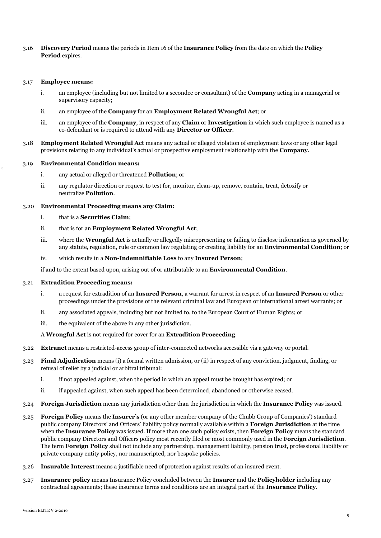# 3.16 **Discovery Period** means the periods in Item 16 of the **Insurance Policy** from the date on which the **Policy Period** expires.

#### 3.17 **Employee means:**

- i. an employee (including but not limited to a secondee or consultant) of the **Company** acting in a managerial or supervisory capacity;
- ii. an employee of the **Company** for an **Employment Related Wrongful Act**; or
- iii. an employee of the **Company**, in respect of any **Claim** or **Investigation** in which such employee is named as a co-defendant or is required to attend with any **Director or Officer**.
- 3.18 **Employment Related Wrongful Act** means any actual or alleged violation of employment laws or any other legal provisions relating to any individual's actual or prospective employment relationship with the **Company**.

# 3.19 **Environmental Condition means:**

- i. any actual or alleged or threatened **Pollution**; or
- ii. any regulator direction or request to test for, monitor, clean-up, remove, contain, treat, detoxify or neutralize **Pollution**.

# 3.20 **Environmental Proceeding means any Claim:**

- i. that is a **Securities Claim**;
- ii. that is for an **Employment Related Wrongful Act**;
- iii. where the **Wrongful Act** is actually or allegedly misrepresenting or failing to disclose information as governed by any statute, regulation, rule or common law regulating or creating liability for an **Environmental Condition**; or
- iv. which results in a **Non-Indemnifiable Loss** to any **Insured Person**;

if and to the extent based upon, arising out of or attributable to an **Environmental Condition**.

#### 3.21 **Extradition Proceeding means:**

- i. a request for extradition of an **Insured Person**, a warrant for arrest in respect of an **Insured Person** or other proceedings under the provisions of the relevant criminal law and European or international arrest warrants; or
- ii. any associated appeals, including but not limited to, to the European Court of Human Rights; or
- iii. the equivalent of the above in any other jurisdiction.

#### A **Wrongful Act** is not required for cover for an **Extradition Proceeding**.

- 3.22 **Extranet** means a restricted-access group of inter-connected networks accessible via a gateway or portal.
- 3.23 **Final Adjudication** means (i) a formal written admission, or (ii) in respect of any conviction, judgment, finding, or refusal of relief by a judicial or arbitral tribunal:
	- i. if not appealed against, when the period in which an appeal must be brought has expired; or
	- ii. if appealed against, when such appeal has been determined, abandoned or otherwise ceased.
- 3.24 **Foreign Jurisdiction** means any jurisdiction other than the jurisdiction in which the **Insurance Policy** was issued.
- 3.25 **Foreign Policy** means the **Insurer's** (or any other member company of the Chubb Group of Companies') standard public company Directors' and Officers' liability policy normally available within a **Foreign Jurisdiction** at the time when the **Insurance Policy** was issued. If more than one such policy exists, then **Foreign Policy** means the standard public company Directors and Officers policy most recently filed or most commonly used in the **Foreign Jurisdiction**. The term **Foreign Policy** shall not include any partnership, management liability, pension trust, professional liability or private company entity policy, nor manuscripted, nor bespoke policies.
- 3.26 **Insurable Interest** means a justifiable need of protection against results of an insured event.
- 3.27 **Insurance policy** means Insurance Policy concluded between the **Insurer** and the **Policyholder** including any contractual agreements; these insurance terms and conditions are an integral part of the **Insurance Policy**.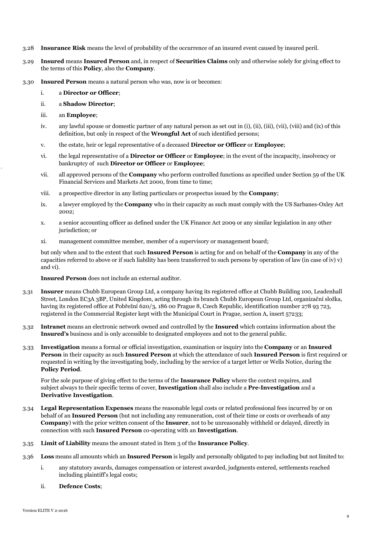- 3.28 **Insurance Risk** means the level of probability of the occurrence of an insured event caused by insured peril.
- 3.29 **Insured** means **Insured Person** and, in respect of **Securities Claims** only and otherwise solely for giving effect to the terms of this **Policy**, also the **Company**.
- 3.30 **Insured Person** means a natural person who was, now is or becomes:
	- i. a **Director or Officer**;
	- ii. a **Shadow Director**;
	- iii. an **Employee**;
	- iv. any lawful spouse or domestic partner of any natural person as set out in (i), (ii), (iii), (vii), (viii) and (ix) of this definition, but only in respect of the **Wrongful Act** of such identified persons;
	- v. the estate, heir or legal representative of a deceased **Director or Officer** or **Employee**;
	- vi. the legal representative of a **Director or Officer** or **Employee**; in the event of the incapacity, insolvency or bankruptcy of such **Director or Officer** or **Employee**;
	- vii. all approved persons of the **Company** who perform controlled functions as specified under Section 59 of the UK Financial Services and Markets Act 2000, from time to time;
	- viii. a prospective director in any listing particulars or prospectus issued by the **Company**;
	- ix. a lawyer employed by the **Company** who in their capacity as such must comply with the US Sarbanes-Oxley Act 2002;
	- x. a senior accounting officer as defined under the UK Finance Act 2009 or any similar legislation in any other jurisdiction; or
	- xi. management committee member, member of a supervisory or management board;

but only when and to the extent that such **Insured Person** is acting for and on behalf of the **Company** in any of the capacities referred to above or if such liability has been transferred to such persons by operation of law (in case of iv)  $v$ ) and vi).

**Insured Person** does not include an external auditor.

- 3.31 **Insurer** means Chubb European Group Ltd, a company having its registered office at Chubb Building 100, Leadenhall Street, London EC3A 3BP, United Kingdom, acting through its branch Chubb European Group Ltd, organizační složka, having its registered office at Pobřežní 620/3, 186 00 Prague 8, Czech Republic, identification number 278 93 723, registered in the Commercial Register kept with the Municipal Court in Prague, section A, insert 57233;
- 3.32 **Intranet** means an electronic network owned and controlled by the **Insured** which contains information about the **Insured's** business and is only accessible to designated employees and not to the general public.
- 3.33 **Investigation** means a formal or official investigation, examination or inquiry into the **Company** or an **Insured Person** in their capacity as such **Insured Person** at which the attendance of such **Insured Person** is first required or requested in writing by the investigating body, including by the service of a target letter or Wells Notice, during the **Policy Period**.

For the sole purpose of giving effect to the terms of the **Insurance Policy** where the context requires, and subject always to their specific terms of cover, **Investigation** shall also include a **Pre-Investigation** and a **Derivative Investigation**.

- 3.34 **Legal Representation Expenses** means the reasonable legal costs or related professional fees incurred by or on behalf of an **Insured Person** (but not including any remuneration, cost of their time or costs or overheads of any **Company**) with the prior written consent of the **Insurer**, not to be unreasonably withheld or delayed, directly in connection with such **Insured Person** co-operating with an **Investigation**.
- 3.35 **Limit of Liability** means the amount stated in Item 3 of the **Insurance Policy**.
- 3.36 **Loss** means all amounts which an **Insured Person** is legally and personally obligated to pay including but not limited to:
	- i. any statutory awards, damages compensation or interest awarded, judgments entered, settlements reached including plaintiff's legal costs;
	- ii. **Defence Costs**;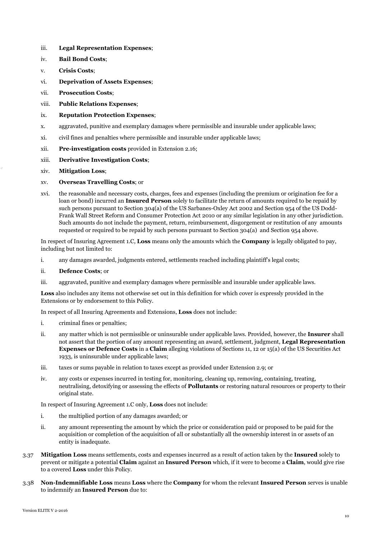- iii. **Legal Representation Expenses**;
- iv. **Bail Bond Costs**;
- v. **Crisis Costs**;
- vi. **Deprivation of Assets Expenses**;
- vii. **Prosecution Costs**;
- viii. **Public Relations Expenses**;
- ix. **Reputation Protection Expenses**;
- x. aggravated, punitive and exemplary damages where permissible and insurable under applicable laws;
- xi. civil fines and penalties where permissible and insurable under applicable laws;
- xii. **Pre-investigation costs** provided in Extension 2.16;
- xiii. **Derivative Investigation Costs**;
- xiv. **Mitigation Loss**;

# xv. **Overseas Travelling Costs**; or

xvi. the reasonable and necessary costs, charges, fees and expenses (including the premium or origination fee for a loan or bond) incurred an **Insured Person** solely to facilitate the return of amounts required to be repaid by such persons pursuant to Section 304(a) of the US Sarbanes-Oxley Act 2002 and Section 954 of the US Dodd-Frank Wall Street Reform and Consumer Protection Act 2010 or any similar legislation in any other jurisdiction. Such amounts do not include the payment, return, reimbursement, disgorgement or restitution of any amounts requested or required to be repaid by such persons pursuant to Section 304(a) and Section 954 above.

In respect of Insuring Agreement 1.C, **Loss** means only the amounts which the **Company** is legally obligated to pay, including but not limited to:

i. any damages awarded, judgments entered, settlements reached including plaintiff's legal costs;

# ii. **Defence Costs**; or

iii. aggravated, punitive and exemplary damages where permissible and insurable under applicable laws.

**Loss** also includes any items not otherwise set out in this definition for which cover is expressly provided in the Extensions or by endorsement to this Policy.

In respect of all Insuring Agreements and Extensions, **Loss** does not include:

- i. criminal fines or penalties;
- ii. any matter which is not permissible or uninsurable under applicable laws. Provided, however, the **Insurer** shall not assert that the portion of any amount representing an award, settlement, judgment, **Legal Representation Expenses or Defence Costs** in a **Claim** alleging violations of Sections 11, 12 or 15(a) of the US Securities Act 1933, is uninsurable under applicable laws;
- iii. taxes or sums payable in relation to taxes except as provided under Extension 2.9; or
- iv. any costs or expenses incurred in testing for, monitoring, cleaning up, removing, containing, treating, neutralising, detoxifying or assessing the effects of **Pollutants** or restoring natural resources or property to their original state.

In respect of Insuring Agreement 1.C only, **Loss** does not include:

- i. the multiplied portion of any damages awarded; or
- ii. any amount representing the amount by which the price or consideration paid or proposed to be paid for the acquisition or completion of the acquisition of all or substantially all the ownership interest in or assets of an entity is inadequate.
- 3.37 **Mitigation Loss** means settlements, costs and expenses incurred as a result of action taken by the **Insured** solely to prevent or mitigate a potential **Claim** against an **Insured Person** which, if it were to become a **Claim**, would give rise to a covered **Loss** under this Policy.
- 3.38 **Non-Indemnifiable Loss** means **Loss** where the **Company** for whom the relevant **Insured Person** serves is unable to indemnify an **Insured Person** due to: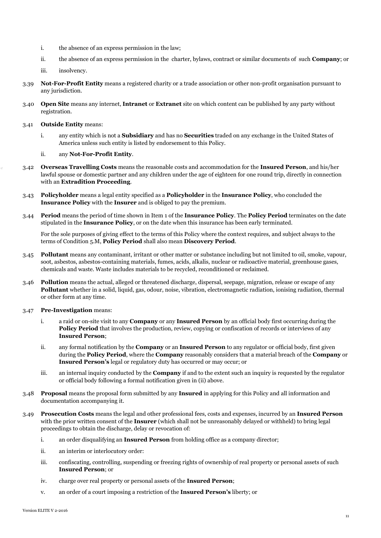- i. the absence of an express permission in the law;
- ii. the absence of an express permission in the charter, bylaws, contract or similar documents of such **Company**; or
- iii. insolvency.
- 3.39 **Not-For-Profit Entity** means a registered charity or a trade association or other non-profit organisation pursuant to any jurisdiction.
- 3.40 **Open Site** means any internet, **Intranet** or **Extranet** site on which content can be published by any party without registration.
- 3.41 **Outside Entity** means:
	- i. any entity which is not a **Subsidiary** and has no **Securities** traded on any exchange in the United States of America unless such entity is listed by endorsement to this Policy.
	- ii. any **Not-For-Profit Entity**.
- 3.42 **Overseas Travelling Costs** means the reasonable costs and accommodation for the **Insured Person**, and his/her lawful spouse or domestic partner and any children under the age of eighteen for one round trip, directly in connection with an **Extradition Proceeding**.
- 3.43 **Policyholder** means a legal entity specified as a **Policyholder** in the **Insurance Policy**, who concluded the **Insurance Policy** with the **Insurer** and is obliged to pay the premium.
- 3.44 **Period** means the period of time shown in Item 1 of the **Insurance Policy**. The **Policy Period** terminates on the date stipulated in the **Insurance Policy**, or on the date when this insurance has been early terminated.

For the sole purposes of giving effect to the terms of this Policy where the context requires, and subject always to the terms of Condition 5.M, **Policy Period** shall also mean **Discovery Period**.

- 3.45 **Pollutant** means any contaminant, irritant or other matter or substance including but not limited to oil, smoke, vapour, soot, asbestos, asbestos-containing materials, fumes, acids, alkalis, nuclear or radioactive material, greenhouse gases, chemicals and waste. Waste includes materials to be recycled, reconditioned or reclaimed.
- 3.46 **Pollution** means the actual, alleged or threatened discharge, dispersal, seepage, migration, release or escape of any **Pollutant** whether in a solid, liquid, gas, odour, noise, vibration, electromagnetic radiation, ionising radiation, thermal or other form at any time.
- 3.47 **Pre-Investigation** means:
	- i. a raid or on-site visit to any **Company** or any **Insured Person** by an official body first occurring during the **Policy Period** that involves the production, review, copying or confiscation of records or interviews of any **Insured Person**;
	- ii. any formal notification by the **Company** or an **Insured Person** to any regulator or official body, first given during the **Policy Period**, where the **Company** reasonably considers that a material breach of the **Company** or **Insured Person's** legal or regulatory duty has occurred or may occur; or
	- iii. an internal inquiry conducted by the **Company** if and to the extent such an inquiry is requested by the regulator or official body following a formal notification given in (ii) above.
- 3.48 **Proposal** means the proposal form submitted by any **Insured** in applying for this Policy and all information and documentation accompanying it.
- 3.49 **Prosecution Costs** means the legal and other professional fees, costs and expenses, incurred by an **Insured Person** with the prior written consent of the **Insurer** (which shall not be unreasonably delayed or withheld) to bring legal proceedings to obtain the discharge, delay or revocation of:
	- i. an order disqualifying an **Insured Person** from holding office as a company director;
	- ii. an interim or interlocutory order:
	- iii. confiscating, controlling, suspending or freezing rights of ownership of real property or personal assets of such **Insured Person**; or
	- iv. charge over real property or personal assets of the **Insured Person**;
	- v. an order of a court imposing a restriction of the **Insured Person's** liberty; or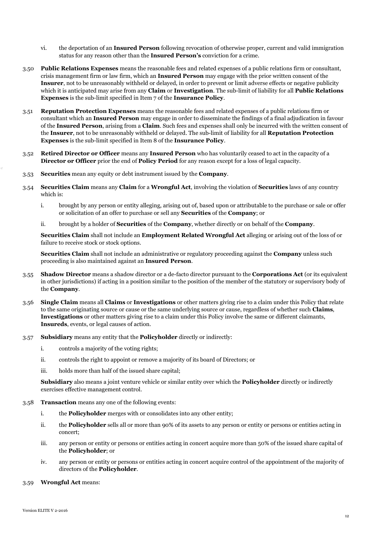- vi. the deportation of an **Insured Person** following revocation of otherwise proper, current and valid immigration status for any reason other than the **Insured Person's** conviction for a crime.
- 3.50 **Public Relations Expenses** means the reasonable fees and related expenses of a public relations firm or consultant, crisis management firm or law firm, which an **Insured Person** may engage with the prior written consent of the **Insurer**, not to be unreasonably withheld or delayed, in order to prevent or limit adverse effects or negative publicity which it is anticipated may arise from any **Claim** or **Investigation**. The sub-limit of liability for all **Public Relations Expenses** is the sub-limit specified in Item 7 of the **Insurance Policy**.
- 3.51 **Reputation Protection Expenses** means the reasonable fees and related expenses of a public relations firm or consultant which an **Insured Person** may engage in order to disseminate the findings of a final adjudication in favour of the **Insured Person**, arising from a **Claim**. Such fees and expenses shall only be incurred with the written consent of the **Insurer**, not to be unreasonably withheld or delayed. The sub-limit of liability for all **Reputation Protection Expenses** is the sub-limit specified in Item 8 of the **Insurance Policy**.
- 3.52 **Retired Director or Officer** means any **Insured Person** who has voluntarily ceased to act in the capacity of a **Director or Officer** prior the end of **Policy Period** for any reason except for a loss of legal capacity.
- 3.53 **Securities** mean any equity or debt instrument issued by the **Company**.
- 3.54 **Securities Claim** means any **Claim** for a **Wrongful Act**, involving the violation of **Securities** laws of any country which is:
	- i. brought by any person or entity alleging, arising out of, based upon or attributable to the purchase or sale or offer or solicitation of an offer to purchase or sell any **Securities** of the **Company**; or
	- ii. brought by a holder of **Securities** of the **Company**, whether directly or on behalf of the **Company**.

**Securities Claim** shall not include an **Employment Related Wrongful Act** alleging or arising out of the loss of or failure to receive stock or stock options.

**Securities Claim** shall not include an administrative or regulatory proceeding against the **Company** unless such proceeding is also maintained against an **Insured Person**.

- 3.55 **Shadow Director** means a shadow director or a de-facto director pursuant to the **Corporations Act** (or its equivalent in other jurisdictions) if acting in a position similar to the position of the member of the statutory or supervisory body of the **Company**.
- 3.56 **Single Claim** means all **Claims** or **Investigations** or other matters giving rise to a claim under this Policy that relate to the same originating source or cause or the same underlying source or cause, regardless of whether such **Claims**, **Investigations** or other matters giving rise to a claim under this Policy involve the same or different claimants, **Insureds**, events, or legal causes of action.
- 3.57 **Subsidiary** means any entity that the **Policyholder** directly or indirectly:
	- i. controls a majority of the voting rights;
	- ii. controls the right to appoint or remove a majority of its board of Directors; or
	- iii. holds more than half of the issued share capital;

**Subsidiary** also means a joint venture vehicle or similar entity over which the **Policyholder** directly or indirectly exercises effective management control.

- 3.58 **Transaction** means any one of the following events:
	- i. the **Policyholder** merges with or consolidates into any other entity;
	- ii. the **Policyholder** sells all or more than 90% of its assets to any person or entity or persons or entities acting in concert;
	- iii. any person or entity or persons or entities acting in concert acquire more than 50% of the issued share capital of the **Policyholder**; or
	- iv. any person or entity or persons or entities acting in concert acquire control of the appointment of the majority of directors of the **Policyholder**.
- 3.59 **Wrongful Act** means: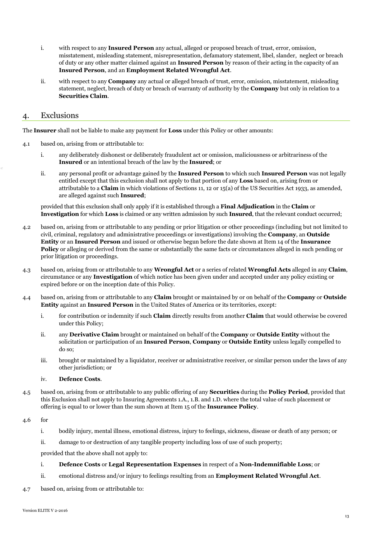- i. with respect to any **Insured Person** any actual, alleged or proposed breach of trust, error, omission, misstatement, misleading statement, misrepresentation, defamatory statement, libel, slander, neglect or breach of duty or any other matter claimed against an **Insured Person** by reason of their acting in the capacity of an **Insured Person**, and an **Employment Related Wrongful Act**.
- ii. with respect to any **Company** any actual or alleged breach of trust, error, omission, misstatement, misleading statement, neglect, breach of duty or breach of warranty of authority by the **Company** but only in relation to a **Securities Claim**.

# 4. Exclusions

The **Insurer** shall not be liable to make any payment for **Loss** under this Policy or other amounts:

- 4.1 based on, arising from or attributable to:
	- i. any deliberately dishonest or deliberately fraudulent act or omission, maliciousness or arbitrariness of the **Insured** or an intentional breach of the law by the **Insured**; or
	- ii. any personal profit or advantage gained by the **Insured Person** to which such **Insured Person** was not legally entitled except that this exclusion shall not apply to that portion of any **Loss** based on, arising from or attributable to a **Claim** in which violations of Sections 11, 12 or 15(a) of the US Securities Act 1933, as amended, are alleged against such **Insured**;

provided that this exclusion shall only apply if it is established through a **Final Adjudication** in the **Claim** or **Investigation** for which **Loss** is claimed or any written admission by such **Insured**, that the relevant conduct occurred;

- 4.2 based on, arising from or attributable to any pending or prior litigation or other proceedings (including but not limited to civil, criminal, regulatory and administrative proceedings or investigations) involving the **Company**, an **Outside Entity** or an **Insured Person** and issued or otherwise begun before the date shown at Item 14 of the **Insurance Policy** or alleging or derived from the same or substantially the same facts or circumstances alleged in such pending or prior litigation or proceedings.
- 4.3 based on, arising from or attributable to any **Wrongful Act** or a series of related **Wrongful Acts** alleged in any **Claim**, circumstance or any **Investigation** of which notice has been given under and accepted under any policy existing or expired before or on the inception date of this Policy.
- 4.4 based on, arising from or attributable to any **Claim** brought or maintained by or on behalf of the **Company** or **Outside Entity** against an **Insured Person** in the United States of America or its territories, except:
	- i. for contribution or indemnity if such **Claim** directly results from another **Claim** that would otherwise be covered under this Policy;
	- ii. any **Derivative Claim** brought or maintained on behalf of the **Company** or **Outside Entity** without the solicitation or participation of an **Insured Person**, **Company** or **Outside Entity** unless legally compelled to do so;
	- iii. brought or maintained by a liquidator, receiver or administrative receiver, or similar person under the laws of any other jurisdiction; or
	- iv. **Defence Costs**.
- 4.5 based on, arising from or attributable to any public offering of any **Securities** during the **Policy Period**, provided that this Exclusion shall not apply to Insuring Agreements 1.A., 1.B. and 1.D. where the total value of such placement or offering is equal to or lower than the sum shown at Item 15 of the **Insurance Policy**.
- 4.6 for
	- i. bodily injury, mental illness, emotional distress, injury to feelings, sickness, disease or death of any person; or
	- ii. damage to or destruction of any tangible property including loss of use of such property;

provided that the above shall not apply to:

- i. **Defence Costs** or **Legal Representation Expenses** in respect of a **Non-Indemnifiable Loss**; or
- ii. emotional distress and/or injury to feelings resulting from an **Employment Related Wrongful Act**.
- 4.7 based on, arising from or attributable to: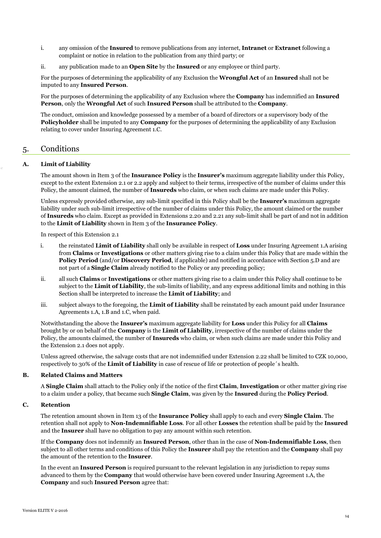- i. any omission of the **Insured** to remove publications from any internet, **Intranet** or **Extranet** following a complaint or notice in relation to the publication from any third party; or
- ii. any publication made to an **Open Site** by the **Insured** or any employee or third party.

For the purposes of determining the applicability of any Exclusion the **Wrongful Act** of an **Insured** shall not be imputed to any **Insured Person**.

For the purposes of determining the applicability of any Exclusion where the **Company** has indemnified an **Insured Person**, only the **Wrongful Act** of such **Insured Person** shall be attributed to the **Company**.

The conduct, omission and knowledge possessed by a member of a board of directors or a supervisory body of the **Policyholder** shall be imputed to any **Company** for the purposes of determining the applicability of any Exclusion relating to cover under Insuring Agreement 1.C.

# 5. Conditions

# **A. Limit of Liability**

The amount shown in Item 3 of the **Insurance Policy** is the **Insurer's** maximum aggregate liability under this Policy, except to the extent Extension 2.1 or 2.2 apply and subject to their terms, irrespective of the number of claims under this Policy, the amount claimed, the number of **Insureds** who claim, or when such claims are made under this Policy.

Unless expressly provided otherwise, any sub-limit specified in this Policy shall be the **Insurer's** maximum aggregate liability under such sub-limit irrespective of the number of claims under this Policy, the amount claimed or the number of **Insureds** who claim. Except as provided in Extensions 2.20 and 2.21 any sub-limit shall be part of and not in addition to the **Limit of Liability** shown in Item 3 of the **Insurance Policy**.

In respect of this Extension 2.1

- i. the reinstated **Limit of Liability** shall only be available in respect of **Loss** under Insuring Agreement 1.A arising from **Claims** or **Investigations** or other matters giving rise to a claim under this Policy that are made within the **Policy Period** (and/or **Discovery Period**, if applicable) and notified in accordance with Section 5.D and are not part of a **Single Claim** already notified to the Policy or any preceding policy;
- ii. all such **Claims** or **Investigations** or other matters giving rise to a claim under this Policy shall continue to be subject to the **Limit of Liability**, the sub-limits of liability, and any express additional limits and nothing in this Section shall be interpreted to increase the **Limit of Liability**; and
- iii. subject always to the foregoing, the **Limit of Liability** shall be reinstated by each amount paid under Insurance Agreements 1.A, 1.B and 1.C, when paid.

Notwithstanding the above the **Insurer's** maximum aggregate liability for **Loss** under this Policy for all **Claims** brought by or on behalf of the **Company** is the **Limit of Liability**, irrespective of the number of claims under the Policy, the amounts claimed, the number of **Insureds** who claim, or when such claims are made under this Policy and the Extension 2.1 does not apply.

Unless agreed otherwise, the salvage costs that are not indemnified under Extension 2.22 shall be limited to CZK 10,000, respectively to 30% of the **Limit of Liability** in case of rescue of life or protection of people´s health.

# **B. Related Claims and Matters**

A **Single Claim** shall attach to the Policy only if the notice of the first **Claim**, **Investigation** or other matter giving rise to a claim under a policy, that became such **Single Claim**, was given by the **Insured** during the **Policy Period**.

# **C. Retention**

The retention amount shown in Item 13 of the **Insurance Policy** shall apply to each and every **Single Claim**. The retention shall not apply to **Non-Indemnifiable Loss**. For all other **Losses** the retention shall be paid by the **Insured** and the **Insurer** shall have no obligation to pay any amount within such retention.

If the **Company** does not indemnify an **Insured Person**, other than in the case of **Non-Indemnifiable Loss**, then subject to all other terms and conditions of this Policy the **Insurer** shall pay the retention and the **Company** shall pay the amount of the retention to the **Insurer**.

In the event an **Insured Person** is required pursuant to the relevant legislation in any jurisdiction to repay sums advanced to them by the **Company** that would otherwise have been covered under Insuring Agreement 1.A, the **Company** and such **Insured Person** agree that: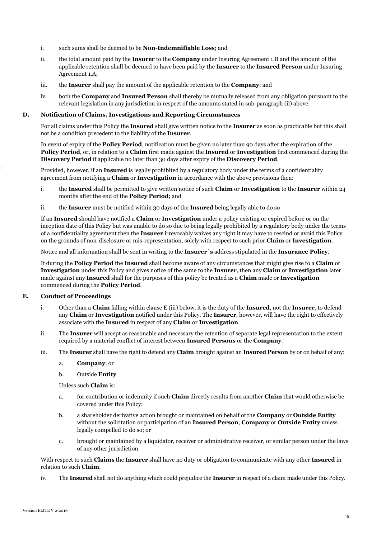- i. such sums shall be deemed to be **Non-Indemnifiable Loss**; and
- ii. the total amount paid by the **Insurer** to the **Company** under Insuring Agreement 1.B and the amount of the applicable retention shall be deemed to have been paid by the **Insurer** to the **Insured Person** under Insuring Agreement 1.A;
- iii. the **Insurer** shall pay the amount of the applicable retention to the **Company**; and
- iv. both the **Company** and **Insured Person** shall thereby be mutually released from any obligation pursuant to the relevant legislation in any jurisdiction in respect of the amounts stated in sub-paragraph (ii) above.

# **D. Notification of Claims, Investigations and Reporting Circumstances**

For all claims under this Policy the **Insured** shall give written notice to the **Insurer** as soon as practicable but this shall not be a condition precedent to the liability of the **Insurer**.

In event of expiry of the **Policy Period**, notification must be given no later than 90 days after the expiration of the **Policy Period**, or, in relation to a **Claim** first made against the **Insured** or **Investigation** first commenced during the **Discovery Period** if applicable no later than 30 days after expiry of the **Discovery Period**.

Provided, however, if an **Insured** is legally prohibited by a regulatory body under the terms of a confidentiality agreement from notifying a **Claim** or **Investigation** in accordance with the above provisions then:

- i. the **Insured** shall be permitted to give written notice of such **Claim** or **Investigation** to the **Insurer** within 24 months after the end of the **Policy Period**; and
- ii. the **Insurer** must be notified within 30 days of the **Insured** being legally able to do so

If an **Insured** should have notified a **Claim** or **Investigation** under a policy existing or expired before or on the inception date of this Policy but was unable to do so due to being legally prohibited by a regulatory body under the terms of a confidentiality agreement then the **Insurer** irrevocably waives any right it may have to rescind or avoid this Policy on the grounds of non-disclosure or mis-representation, solely with respect to such prior **Claim** or **Investigation**.

Notice and all information shall be sent in writing to the **Insurer´s** address stipulated in the **Insurance Policy**.

If during the **Policy Period** the **Insured** shall become aware of any circumstances that might give rise to a **Claim** or **Investigation** under this Policy and gives notice of the same to the **Insurer**, then any **Claim** or **Investigation** later made against any **Insured** shall for the purposes of this policy be treated as a **Claim** made or **Investigation** commenced during the **Policy Period**.

# **E. Conduct of Proceedings**

- i. Other than a **Claim** falling within clause E (iii) below, it is the duty of the **Insured**, not the **Insurer**, to defend any **Claim** or **Investigation** notified under this Policy. The **Insurer**, however, will have the right to effectively associate with the **Insured** in respect of any **Claim** or **Investigation**.
- ii. The **Insurer** will accept as reasonable and necessary the retention of separate legal representation to the extent required by a material conflict of interest between **Insured Persons** or the **Company**.
- iii. The **Insurer** shall have the right to defend any **Claim** brought against an **Insured Person** by or on behalf of any:
	- a. **Company**; or
	- b. Outside **Entity**

Unless such **Claim** is:

- a. for contribution or indemnity if such **Claim** directly results from another **Claim** that would otherwise be covered under this Policy;
- b. a shareholder derivative action brought or maintained on behalf of the **Company** or **Outside Entity** without the solicitation or participation of an **Insured Person**, **Company** or **Outside Entity** unless legally compelled to do so; or
- c. brought or maintained by a liquidator, receiver or administrative receiver, or similar person under the laws of any other jurisdiction.

With respect to such **Claims** the **Insurer** shall have no duty or obligation to communicate with any other **Insured** in relation to such **Claim**.

iv. The **Insured** shall not do anything which could prejudice the **Insurer** in respect of a claim made under this Policy.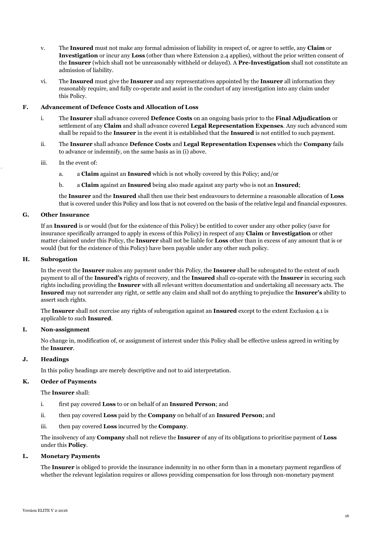- v. The **Insured** must not make any formal admission of liability in respect of, or agree to settle, any **Claim** or **Investigation** or incur any **Loss** (other than where Extension 2.4 applies), without the prior written consent of the **Insurer** (which shall not be unreasonably withheld or delayed). A **Pre-Investigation** shall not constitute an admission of liability.
- vi. The **Insured** must give the **Insurer** and any representatives appointed by the **Insurer** all information they reasonably require, and fully co-operate and assist in the conduct of any investigation into any claim under this Policy.

# **F. Advancement of Defence Costs and Allocation of Loss**

- i. The **Insurer** shall advance covered **Defence Costs** on an ongoing basis prior to the **Final Adjudication** or settlement of any **Claim** and shall advance covered **Legal Representation Expenses**. Any such advanced sum shall be repaid to the **Insurer** in the event it is established that the **Insured** is not entitled to such payment.
- ii. The **Insurer** shall advance **Defence Costs** and **Legal Representation Expenses** which the **Company** fails to advance or indemnify, on the same basis as in (i) above.
- iii. In the event of:
	- a. a **Claim** against an **Insured** which is not wholly covered by this Policy; and/or
	- b. a **Claim** against an **Insured** being also made against any party who is not an **Insured**;

the **Insurer** and the **Insured** shall then use their best endeavours to determine a reasonable allocation of **Loss** that is covered under this Policy and loss that is not covered on the basis of the relative legal and financial exposures.

# **G. Other Insurance**

If an **Insured** is or would (but for the existence of this Policy) be entitled to cover under any other policy (save for insurance specifically arranged to apply in excess of this Policy) in respect of any **Claim** or **Investigation** or other matter claimed under this Policy, the **Insurer** shall not be liable for **Loss** other than in excess of any amount that is or would (but for the existence of this Policy) have been payable under any other such policy.

#### **H. Subrogation**

In the event the **Insurer** makes any payment under this Policy, the **Insurer** shall be subrogated to the extent of such payment to all of the **Insured's** rights of recovery, and the **Insured** shall co-operate with the **Insurer** in securing such rights including providing the **Insurer** with all relevant written documentation and undertaking all necessary acts. The **Insured** may not surrender any right, or settle any claim and shall not do anything to prejudice the **Insurer's** ability to assert such rights.

The **Insurer** shall not exercise any rights of subrogation against an **Insured** except to the extent Exclusion 4.1 is applicable to such **Insured**.

#### **I. Non-assignment**

No change in, modification of, or assignment of interest under this Policy shall be effective unless agreed in writing by the **Insurer**.

# **J. Headings**

In this policy headings are merely descriptive and not to aid interpretation.

#### **K. Order of Payments**

The **Insurer** shall:

- i. first pay covered **Loss** to or on behalf of an **Insured Person**; and
- ii. then pay covered **Loss** paid by the **Company** on behalf of an **Insured Person**; and
- iii. then pay covered **Loss** incurred by the **Company**.

The insolvency of any **Company** shall not relieve the **Insurer** of any of its obligations to prioritise payment of **Loss** under this **Policy**.

#### **L. Monetary Payments**

The **Insurer** is obliged to provide the insurance indemnity in no other form than in a monetary payment regardless of whether the relevant legislation requires or allows providing compensation for loss through non-monetary payment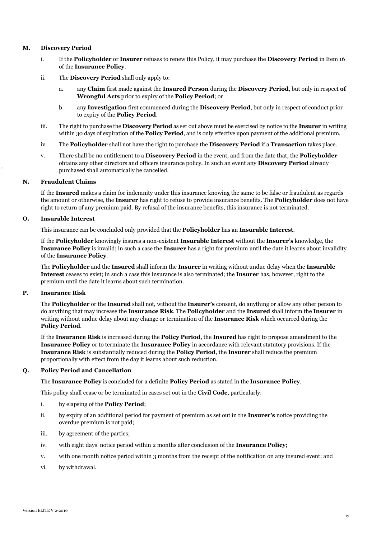# **M. Discovery Period**

- i. If the **Policyholder** or **Insurer** refuses to renew this Policy, it may purchase the **Discovery Period** in Item 16 of the **Insurance Policy**.
- ii. The **Discovery Period** shall only apply to:
	- a. any **Claim** first made against the **Insured Person** during the **Discovery Period**, but only in respect **of Wrongful Acts** prior to expiry of the **Policy Period**; or
	- b. any **Investigation** first commenced during the **Discovery Period**, but only in respect of conduct prior to expiry of the **Policy Period**.
- iii. The right to purchase the **Discovery Period** as set out above must be exercised by notice to the **Insurer** in writing within 30 days of expiration of the **Policy Period**, and is only effective upon payment of the additional premium.
- iv. The **Policyholder** shall not have the right to purchase the **Discovery Period** if a **Transaction** takes place.
- v. There shall be no entitlement to a **Discovery Period** in the event, and from the date that, the **Policyholder** obtains any other directors and officers insurance policy. In such an event any **Discovery Period** already purchased shall automatically be cancelled.

# **N. Fraudulent Claims**

If the **Insured** makes a claim for indemnity under this insurance knowing the same to be false or fraudulent as regards the amount or otherwise, the **Insurer** has right to refuse to provide insurance benefits. The **Policyholder** does not have right to return of any premium paid. By refusal of the insurance benefits, this insurance is not terminated.

# **O. Insurable Interest**

This insurance can be concluded only provided that the **Policyholder** has an **Insurable Interest**.

If the **Policyholder** knowingly insures a non-existent **Insurable Interest** without the **Insurer's** knowledge, the **Insurance Policy** is invalid; in such a case the **Insurer** has a right for premium until the date it learns about invalidity of the **Insurance Policy**.

The **Policyholder** and the **Insured** shall inform the **Insurer** in writing without undue delay when the **Insurable Interest** ceases to exist; in such a case this insurance is also terminated; the **Insurer** has, however, right to the premium until the date it learns about such termination.

# **P. Insurance Risk**

The **Policyholder** or the **Insured** shall not, without the **Insurer's** consent, do anything or allow any other person to do anything that may increase the **Insurance Risk**. The **Policyholder** and the **Insured** shall inform the **Insurer** in writing without undue delay about any change or termination of the **Insurance Risk** which occurred during the **Policy Period**.

If the **Insurance Risk** is increased during the **Policy Period**, the **Insured** has right to propose amendment to the **Insurance Policy** or to terminate the **Insurance Policy** in accordance with relevant statutory provisions. If the **Insurance Risk** is substantially reduced during the **Policy Period**, the **Insurer** shall reduce the premium proportionally with effect from the day it learns about such reduction.

# **Q. Policy Period and Cancellation**

The **Insurance Policy** is concluded for a definite **Policy Period** as stated in the **Insurance Policy**.

This policy shall cease or be terminated in cases set out in the **Civil Code**, particularly:

# i. by elapsing of the **Policy Period**;

- ii. by expiry of an additional period for payment of premium as set out in the **Insurer's** notice providing the overdue premium is not paid;
- iii. by agreement of the parties;
- iv. with eight days' notice period within 2 months after conclusion of the **Insurance Policy**;
- v. with one month notice period within 3 months from the receipt of the notification on any insured event; and
- vi. by withdrawal.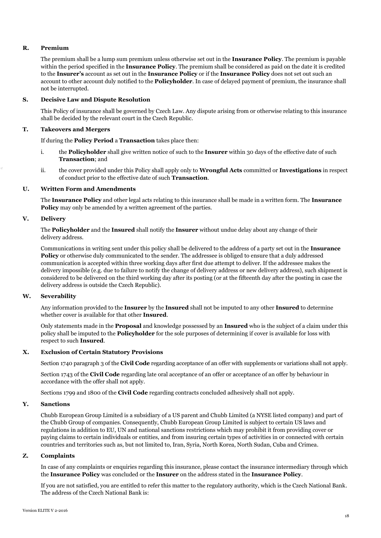# **R. Premium**

The premium shall be a lump sum premium unless otherwise set out in the **Insurance Policy**. The premium is payable within the period specified in the **Insurance Policy**. The premium shall be considered as paid on the date it is credited to the **Insurer's** account as set out in the **Insurance Policy** or if the **Insurance Policy** does not set out such an account to other account duly notified to the **Policyholder**. In case of delayed payment of premium, the insurance shall not be interrupted.

# **S. Decisive Law and Dispute Resolution**

This Policy of insurance shall be governed by Czech Law. Any dispute arising from or otherwise relating to this insurance shall be decided by the relevant court in the Czech Republic.

# **T. Takeovers and Mergers**

# If during the **Policy Period** a **Transaction** takes place then:

- i. the **Policyholder** shall give written notice of such to the **Insurer** within 30 days of the effective date of such **Transaction**; and
- ii. the cover provided under this Policy shall apply only to **Wrongful Acts** committed or **Investigations** in respect of conduct prior to the effective date of such **Transaction**.

# **U. Written Form and Amendments**

The **Insurance Policy** and other legal acts relating to this insurance shall be made in a written form. The **Insurance Policy** may only be amended by a written agreement of the parties.

# **V. Delivery**

The **Policyholder** and the **Insured** shall notify the **Insurer** without undue delay about any change of their delivery address.

Communications in writing sent under this policy shall be delivered to the address of a party set out in the **Insurance Policy** or otherwise duly communicated to the sender. The addressee is obliged to ensure that a duly addressed communication is accepted within three working days after first due attempt to deliver. If the addressee makes the delivery impossible (e.g. due to failure to notify the change of delivery address or new delivery address), such shipment is considered to be delivered on the third working day after its posting (or at the fifteenth day after the posting in case the delivery address is outside the Czech Republic).

# **W. Severability**

Any information provided to the **Insurer** by the **Insured** shall not be imputed to any other **Insured** to determine whether cover is available for that other **Insured**.

Only statements made in the **Proposal** and knowledge possessed by an **Insured** who is the subject of a claim under this policy shall be imputed to the **Policyholder** for the sole purposes of determining if cover is available for loss with respect to such **Insured**.

# **X. Exclusion of Certain Statutory Provisions**

Section 1740 paragraph 3 of the **Civil Code** regarding acceptance of an offer with supplements or variations shall not apply.

Section 1743 of the **Civil Code** regarding late oral acceptance of an offer or acceptance of an offer by behaviour in accordance with the offer shall not apply.

Sections 1799 and 1800 of the **Civil Code** regarding contracts concluded adhesively shall not apply.

# **Y. Sanctions**

Chubb European Group Limited is a subsidiary of a US parent and Chubb Limited (a NYSE listed company) and part of the Chubb Group of companies. Consequently, Chubb European Group Limited is subject to certain US laws and regulations in addition to EU, UN and national sanctions restrictions which may prohibit it from providing cover or paying claims to certain individuals or entities, and from insuring certain types of activities in or connected with certain countries and territories such as, but not limited to, Iran, Syria, North Korea, North Sudan, Cuba and Crimea.

#### **Z. Complaints**

In case of any complaints or enquiries regarding this insurance, please contact the insurance intermediary through which the **Insurance Policy** was concluded or the **Insurer** on the address stated in the **Insurance Policy**.

If you are not satisfied, you are entitled to refer this matter to the regulatory authority, which is the Czech National Bank. The address of the Czech National Bank is: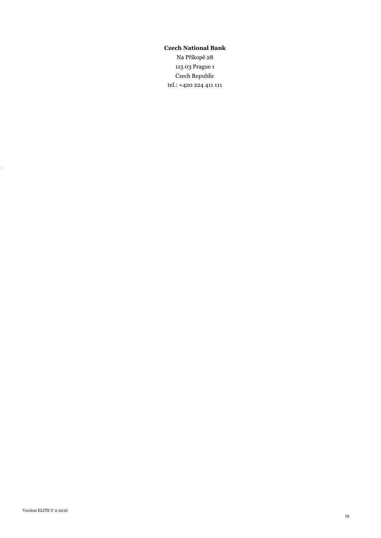# **Czech National Bank**

Na Příkopě 28 115 03 Prague 1 Czech Republic tel.: +420 224 411 111